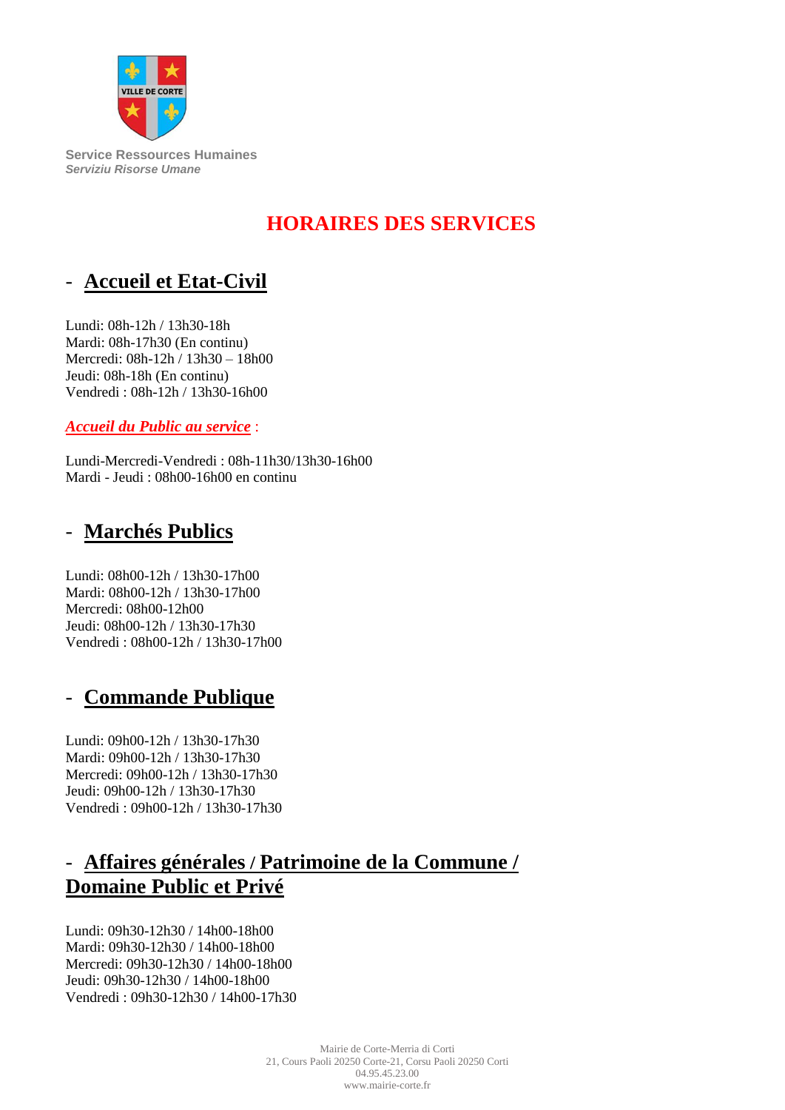

**Service Ressources Humaines** *Serviziu Risorse Umane*

# **HORAIRES DES SERVICES**

# - **Accueil et Etat-Civil**

Lundi: 08h-12h / 13h30-18h Mardi: 08h-17h30 (En continu) Mercredi: 08h-12h / 13h30 – 18h00 Jeudi: 08h-18h (En continu) Vendredi : 08h-12h / 13h30-16h00

*Accueil du Public au service* :

Lundi-Mercredi-Vendredi : 08h-11h30/13h30-16h00 Mardi - Jeudi : 08h00-16h00 en continu

# - **Marchés Publics**

Lundi: 08h00-12h / 13h30-17h00 Mardi: 08h00-12h / 13h30-17h00 Mercredi: 08h00-12h00 Jeudi: 08h00-12h / 13h30-17h30 Vendredi : 08h00-12h / 13h30-17h00

# - **Commande Publique**

Lundi: 09h00-12h / 13h30-17h30 Mardi: 09h00-12h / 13h30-17h30 Mercredi: 09h00-12h / 13h30-17h30 Jeudi: 09h00-12h / 13h30-17h30 Vendredi : 09h00-12h / 13h30-17h30

# - **Affaires générales / Patrimoine de la Commune / Domaine Public et Privé**

Lundi: 09h30-12h30 / 14h00-18h00 Mardi: 09h30-12h30 / 14h00-18h00 Mercredi: 09h30-12h30 / 14h00-18h00 Jeudi: 09h30-12h30 / 14h00-18h00 Vendredi : 09h30-12h30 / 14h00-17h30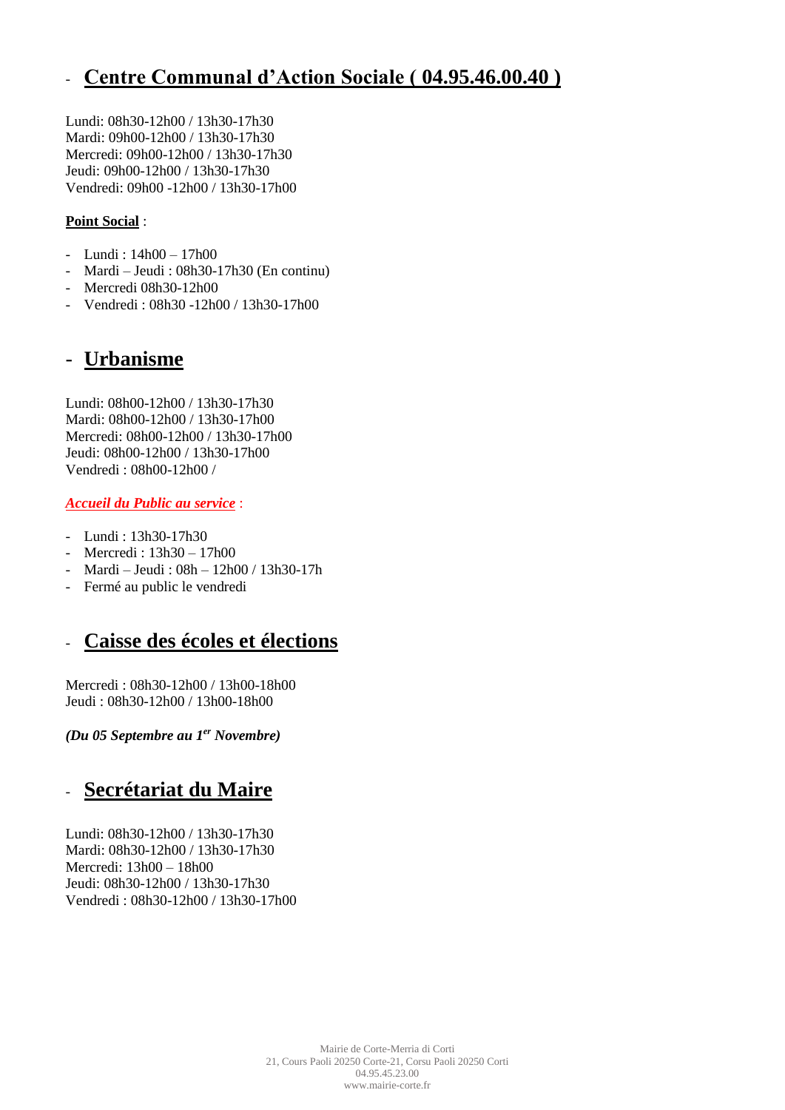## - **Centre Communal d'Action Sociale ( 04.95.46.00.40 )**

Lundi: 08h30-12h00 / 13h30-17h30 Mardi: 09h00-12h00 / 13h30-17h30 Mercredi: 09h00-12h00 / 13h30-17h30 Jeudi: 09h00-12h00 / 13h30-17h30 Vendredi: 09h00 -12h00 / 13h30-17h00

#### **Point Social** :

- Lundi : 14h00 17h00
- Mardi Jeudi : 08h30-17h30 (En continu)
- Mercredi 08h30-12h00
- Vendredi : 08h30 -12h00 / 13h30-17h00

### - **Urbanisme**

Lundi: 08h00-12h00 / 13h30-17h30 Mardi: 08h00-12h00 / 13h30-17h00 Mercredi: 08h00-12h00 / 13h30-17h00 Jeudi: 08h00-12h00 / 13h30-17h00 Vendredi : 08h00-12h00 /

#### *Accueil du Public au service* :

- Lundi : 13h30-17h30
- Mercredi : 13h30 17h00
- Mardi Jeudi : 08h 12h00 / 13h30-17h
- Fermé au public le vendredi

### - **Caisse des écoles et élections**

Mercredi : 08h30-12h00 / 13h00-18h00 Jeudi : 08h30-12h00 / 13h00-18h00

*(Du 05 Septembre au 1er Novembre)*

## - **Secrétariat du Maire**

Lundi: 08h30-12h00 / 13h30-17h30 Mardi: 08h30-12h00 / 13h30-17h30 Mercredi: 13h00 – 18h00 Jeudi: 08h30-12h00 / 13h30-17h30 Vendredi : 08h30-12h00 / 13h30-17h00